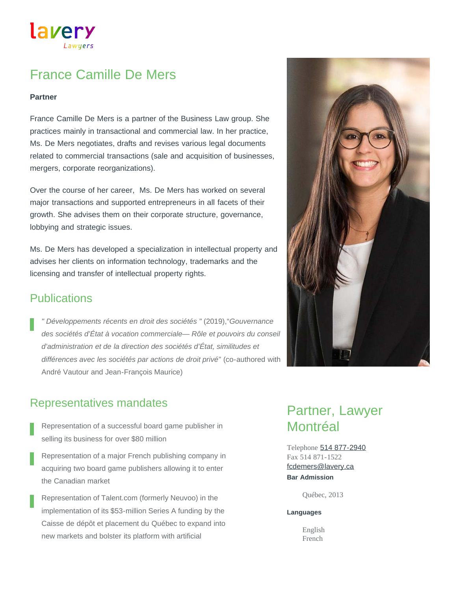lavery

# France Camille De Mers

### **Partner**

France Camille De Mers is a partner of the Business Law group. She practices mainly in transactional and commercial law. In her practice, Ms. De Mers negotiates, drafts and revises various legal documents related to commercial transactions (sale and acquisition of businesses, mergers, corporate reorganizations).

Over the course of her career, Ms. De Mers has worked on several major transactions and supported entrepreneurs in all facets of their growth. She advises them on their corporate structure, governance, lobbying and strategic issues.

Ms. De Mers has developed a specialization in intellectual property and advises her clients on information technology, trademarks and the licensing and transfer of intellectual property rights.

### **Publications**

*" Développements récents en droit des sociétés "* (2019),"*Gouvernance des sociétés d'État à vocation commerciale— Rôle et pouvoirs du conseil d'administration et de la direction des sociétés d'État, similitudes et différences avec les sociétés par actions de droit privé*" (co-authored with André Vautour and Jean-François Maurice)



- Representation of a successful board game publisher in selling its business for over \$80 million
- Representation of a major French publishing company in acquiring two board game publishers allowing it to enter the Canadian market
- Representation of Talent.com (formerly Neuvoo) in the implementation of its \$53-million Series A funding by the Caisse de dépôt et placement du Québec to expand into new markets and bolster its platform with artificial

# Partner, Lawyer Montréal

Telephone [514 877-2940](tel:514-877-2940) Fax 514 871-1522 **Bar Admission** [fcdemers@lavery.ca](mailto:fcdemers@lavery.ca)

Québec, 2013

### **Languages**

English French